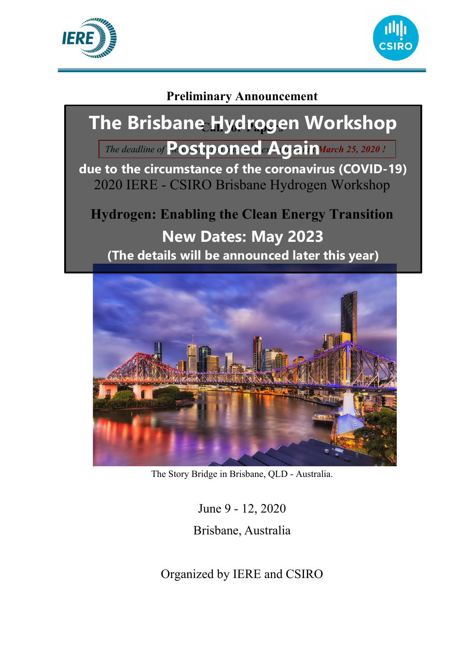



# **Preliminary Announcement**



The Story Bridge in Brisbane, QLD - Australia.

June 9 - 12, 2020

Brisbane, Australia

Organized by IERE and CSIRO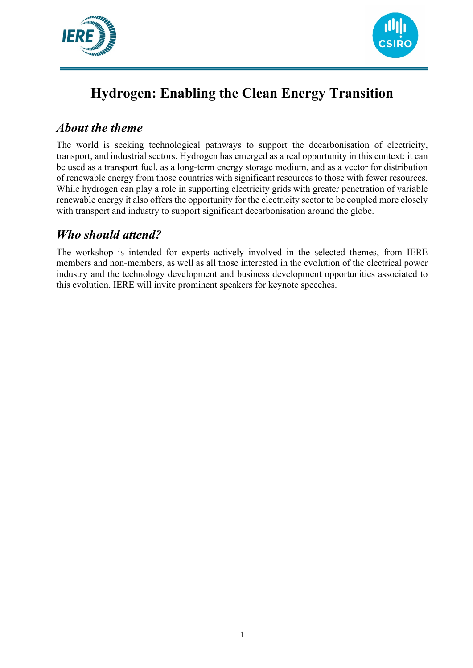



# **Hydrogen: Enabling the Clean Energy Transition**

### *About the theme*

The world is seeking technological pathways to support the decarbonisation of electricity, transport, and industrial sectors. Hydrogen has emerged as a real opportunity in this context: it can be used as a transport fuel, as a long-term energy storage medium, and as a vector for distribution of renewable energy from those countries with significant resources to those with fewer resources. While hydrogen can play a role in supporting electricity grids with greater penetration of variable renewable energy it also offers the opportunity for the electricity sector to be coupled more closely with transport and industry to support significant decarbonisation around the globe.

## *Who should attend?*

The workshop is intended for experts actively involved in the selected themes, from IERE members and non-members, as well as all those interested in the evolution of the electrical power industry and the technology development and business development opportunities associated to this evolution. IERE will invite prominent speakers for keynote speeches.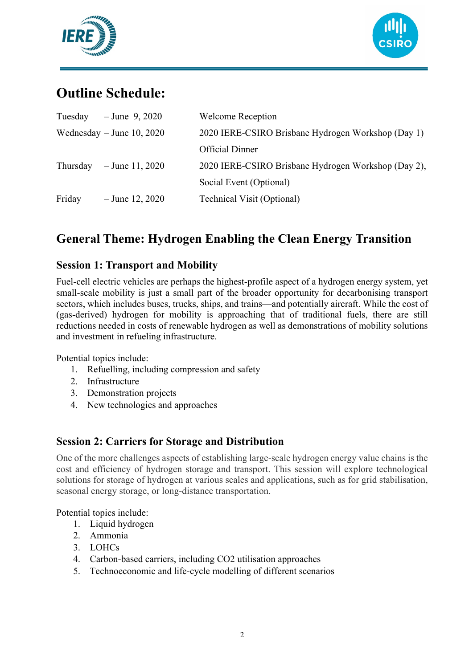



# **Outline Schedule:**

| Tuesday  | $-$ June 9, 2020          | <b>Welcome Reception</b>                            |
|----------|---------------------------|-----------------------------------------------------|
|          | Wednesday – June 10, 2020 | 2020 IERE-CSIRO Brisbane Hydrogen Workshop (Day 1)  |
|          |                           | <b>Official Dinner</b>                              |
| Thursday | $-$ June 11, 2020         | 2020 IERE-CSIRO Brisbane Hydrogen Workshop (Day 2), |
|          |                           | Social Event (Optional)                             |
| Friday   | $-$ June 12, 2020         | <b>Technical Visit (Optional)</b>                   |

## **General Theme: Hydrogen Enabling the Clean Energy Transition**

#### **Session 1: Transport and Mobility**

Fuel-cell electric vehicles are perhaps the highest-profile aspect of a hydrogen energy system, yet small-scale mobility is just a small part of the broader opportunity for decarbonising transport sectors, which includes buses, trucks, ships, and trains—and potentially aircraft. While the cost of (gas-derived) hydrogen for mobility is approaching that of traditional fuels, there are still reductions needed in costs of renewable hydrogen as well as demonstrations of mobility solutions and investment in refueling infrastructure.

Potential topics include:

- 1. Refuelling, including compression and safety
- 2. Infrastructure
- 3. Demonstration projects
- 4. New technologies and approaches

#### **Session 2: Carriers for Storage and Distribution**

One of the more challenges aspects of establishing large-scale hydrogen energy value chains is the cost and efficiency of hydrogen storage and transport. This session will explore technological solutions for storage of hydrogen at various scales and applications, such as for grid stabilisation, seasonal energy storage, or long-distance transportation.

Potential topics include:

- 1. Liquid hydrogen
- 2. Ammonia
- 3. LOHCs
- 4. Carbon-based carriers, including CO2 utilisation approaches
- 5. Technoeconomic and life-cycle modelling of different scenarios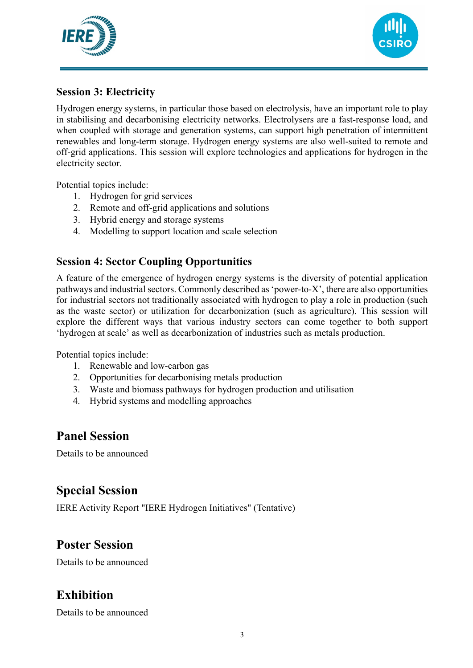



#### **Session 3: Electricity**

Hydrogen energy systems, in particular those based on electrolysis, have an important role to play in stabilising and decarbonising electricity networks. Electrolysers are a fast-response load, and when coupled with storage and generation systems, can support high penetration of intermittent renewables and long-term storage. Hydrogen energy systems are also well-suited to remote and off-grid applications. This session will explore technologies and applications for hydrogen in the electricity sector.

Potential topics include:

- 1. Hydrogen for grid services
- 2. Remote and off-grid applications and solutions
- 3. Hybrid energy and storage systems
- 4. Modelling to support location and scale selection

#### **Session 4: Sector Coupling Opportunities**

A feature of the emergence of hydrogen energy systems is the diversity of potential application pathways and industrial sectors. Commonly described as 'power-to-X', there are also opportunities for industrial sectors not traditionally associated with hydrogen to play a role in production (such as the waste sector) or utilization for decarbonization (such as agriculture). This session will explore the different ways that various industry sectors can come together to both support 'hydrogen at scale' as well as decarbonization of industries such as metals production.

Potential topics include:

- 1. Renewable and low-carbon gas
- 2. Opportunities for decarbonising metals production
- 3. Waste and biomass pathways for hydrogen production and utilisation
- 4. Hybrid systems and modelling approaches

#### **Panel Session**

Details to be announced

### **Special Session**

IERE Activity Report "IERE Hydrogen Initiatives" (Tentative)

### **Poster Session**

Details to be announced

### **Exhibition**

Details to be announced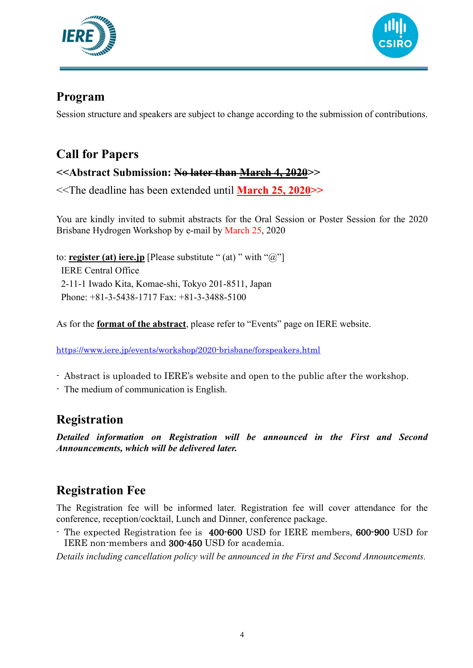



### **Program**

Session structure and speakers are subject to change according to the submission of contributions.

# **Call for Papers**

### **<<Abstract Submission: No later than March 4, 2020>>**

<<The deadline has been extended until **March 25, 2020>>**

You are kindly invited to submit abstracts for the Oral Session or Poster Session for the 2020 Brisbane Hydrogen Workshop by e-mail by March 25, 2020

to: **register (at) iere.jp** [Please substitute " (at) " with "@"] IERE Central Office 2-11-1 Iwado Kita, Komae-shi, Tokyo 201-8511, Japan Phone: +81-3-5438-1717 Fax: +81-3-3488-5100

As for the **format of the abstract**, please refer to "Events" page on IERE website.

<https://www.iere.jp/events/workshop/2020-brisbane/forspeakers.html>

- Abstract is uploaded to IERE's website and open to the public after the workshop.
- The medium of communication is English.

## **Registration**

*Detailed information on Registration will be announced in the First and Second Announcements, which will be delivered later.*

## **Registration Fee**

The Registration fee will be informed later. Registration fee will cover attendance for the conference, reception/cocktail, Lunch and Dinner, conference package.

- The expected Registration fee is 400-600 USD for IERE members, 600-900 USD for IERE non-members and 300-450 USD for academia.

*Details including cancellation policy will be announced in the First and Second Announcements.*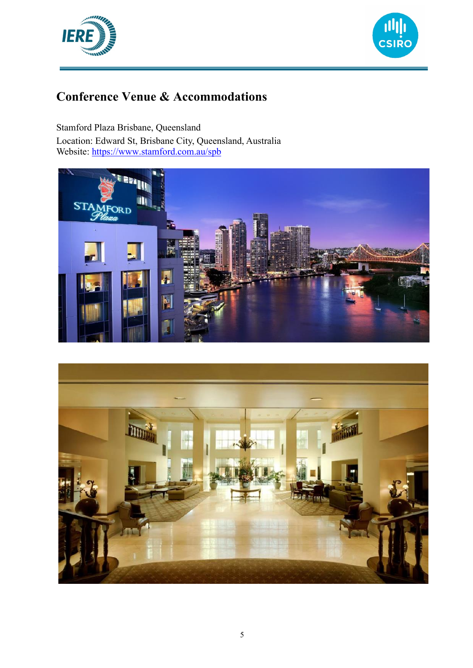



## **Conference Venue & Accommodations**

Stamford Plaza Brisbane, Queensland Location: Edward St, Brisbane City, Queensland, Australia Website:<https://www.stamford.com.au/spb>



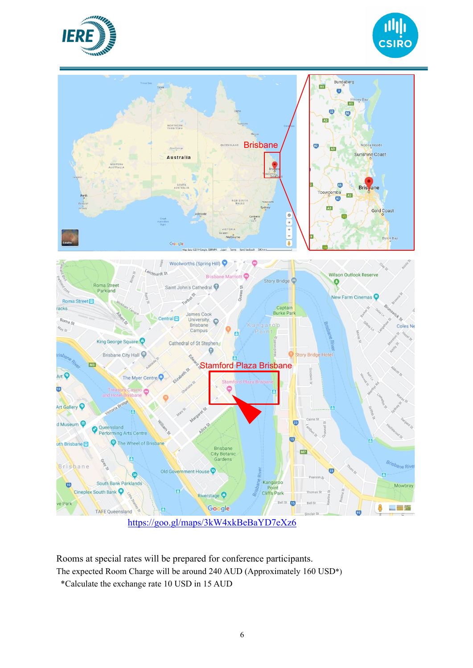





<https://goo.gl/maps/3kW4xkBeBaYD7eXz6>

Google

Riverstage <sup>O</sup>

Rooms at special rates will be prepared for conference participants.

The expected Room Charge will be around 240 AUD (Approximately 160 USD\*)

\*Calculate the exchange rate 10 USD in 15 AUD

TAFE Queensland

ve Park

 $\overline{15}$ 

8

一一卷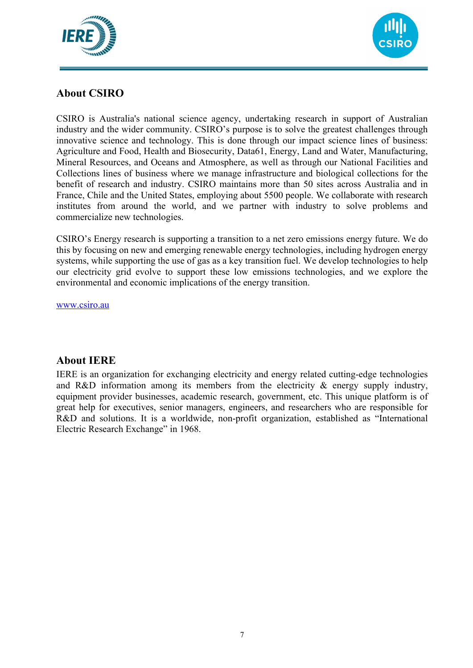



#### **About CSIRO**

CSIRO is Australia's national science agency, undertaking research in support of Australian industry and the wider community. CSIRO's purpose is to solve the greatest challenges through innovative science and technology. This is done through our impact science lines of business: Agriculture and Food, Health and Biosecurity, Data61, Energy, Land and Water, Manufacturing, Mineral Resources, and Oceans and Atmosphere, as well as through our National Facilities and Collections lines of business where we manage infrastructure and biological collections for the benefit of research and industry. CSIRO maintains more than 50 sites across Australia and in France, Chile and the United States, employing about 5500 people. We collaborate with research institutes from around the world, and we partner with industry to solve problems and commercialize new technologies.

CSIRO's Energy research is supporting a transition to a net zero emissions energy future. We do this by focusing on new and emerging renewable energy technologies, including hydrogen energy systems, while supporting the use of gas as a key transition fuel. We develop technologies to help our electricity grid evolve to support these low emissions technologies, and we explore the environmental and economic implications of the energy transition.

[www.csiro.au](http://www.csiro.au/)

#### **About IERE**

IERE is an organization for exchanging electricity and energy related cutting-edge technologies and R&D information among its members from the electricity  $\&$  energy supply industry, equipment provider businesses, academic research, government, etc. This unique platform is of great help for executives, senior managers, engineers, and researchers who are responsible for R&D and solutions. It is a worldwide, non-profit organization, established as "International Electric Research Exchange" in 1968.